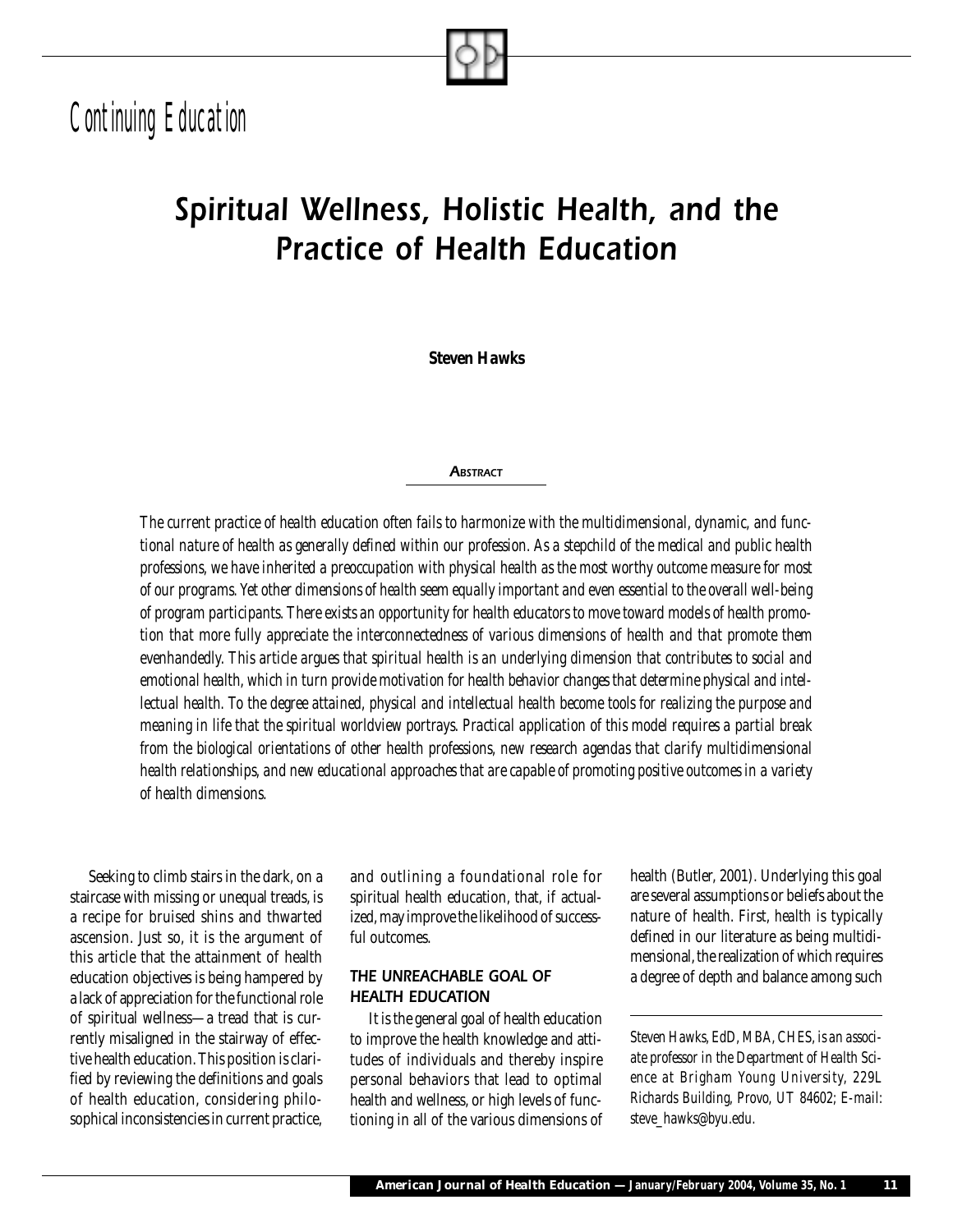

# *Spiritual Wellness, Holistic Health, and the Practice of Health Education*

*Steven Hawks*

## *ABSTRACT*

*The current practice of health education often fails to harmonize with the multidimensional, dynamic, and functional nature of health as generally defined within our profession. As a stepchild of the medical and public health professions, we have inherited a preoccupation with physical health as the most worthy outcome measure for most of our programs. Yet other dimensions of health seem equally important and even essential to the overall well-being of program participants. There exists an opportunity for health educators to move toward models of health promotion that more fully appreciate the interconnectedness of various dimensions of health and that promote them evenhandedly. This article argues that spiritual health is an underlying dimension that contributes to social and emotional health, which in turn provide motivation for health behavior changes that determine physical and intellectual health. To the degree attained, physical and intellectual health become tools for realizing the purpose and meaning in life that the spiritual worldview portrays. Practical application of this model requires a partial break from the biological orientations of other health professions, new research agendas that clarify multidimensional health relationships, and new educational approaches that are capable of promoting positive outcomes in a variety of health dimensions.*

Seeking to climb stairs in the dark, on a staircase with missing or unequal treads, is a recipe for bruised shins and thwarted ascension. Just so, it is the argument of this article that the attainment of health education objectives is being hampered by a lack of appreciation for the functional role of spiritual wellness—a tread that is currently misaligned in the stairway of effective health education. This position is clarified by reviewing the definitions and goals of health education, considering philosophical inconsistencies in current practice, and outlining a foundational role for spiritual health education, that, if actualized, may improve the likelihood of successful outcomes.

## *THE UNREACHABLE GOAL OF HEALTH EDUCATION*

It is the general goal of health education to improve the health knowledge and attitudes of individuals and thereby inspire personal behaviors that lead to optimal health and wellness, or high levels of functioning in all of the various dimensions of

health (Butler, 2001). Underlying this goal are several assumptions or beliefs about the nature of health. First, *health* is typically defined in our literature as being multidimensional, the realization of which requires a degree of depth and balance among such

*Steven Hawks, EdD, MBA, CHES, is an associate professor in the Department of Health Science at Brigham Young University, 229L Richards Building, Provo, UT 84602; E-mail: steve\_hawks@byu.edu.*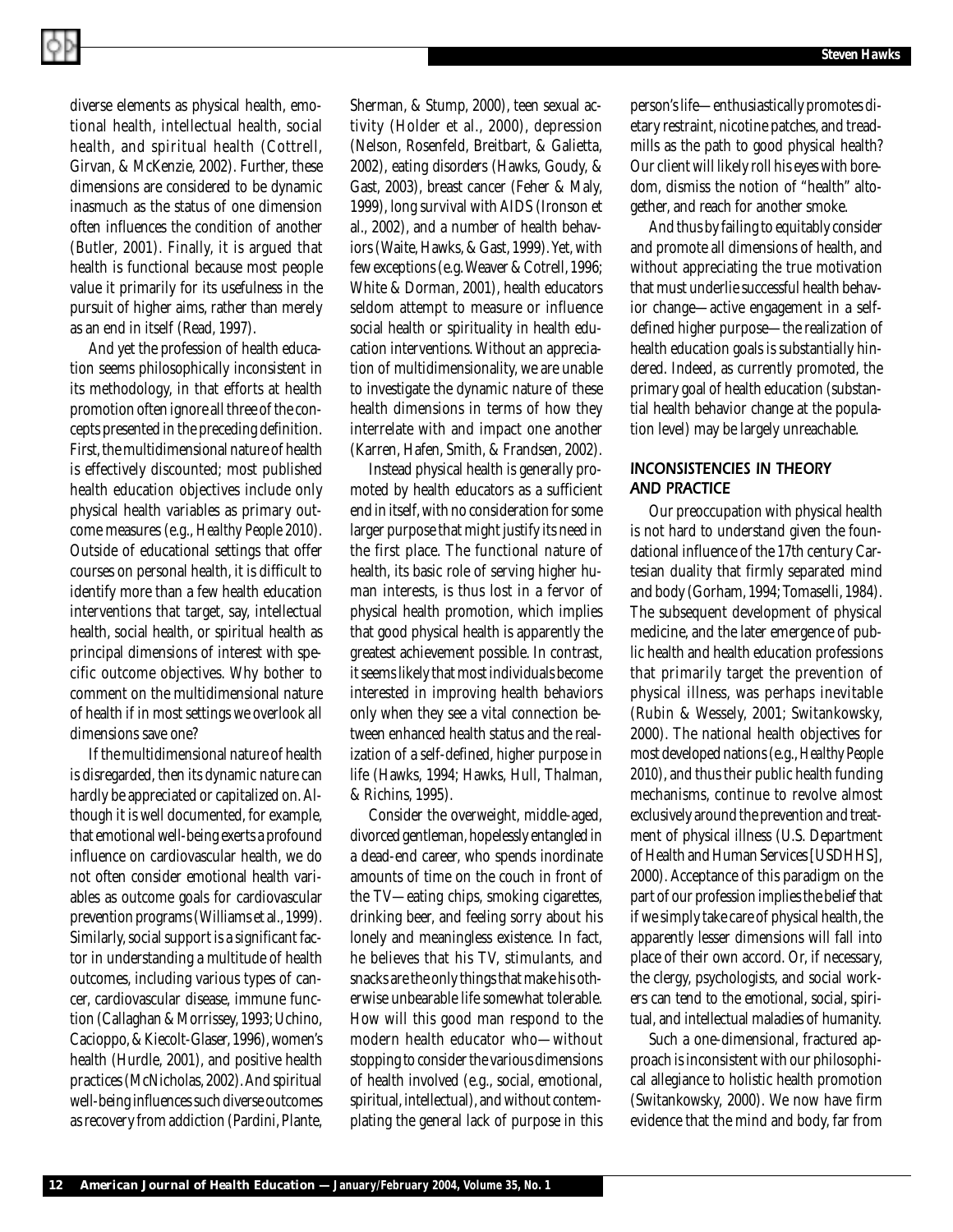diverse elements as physical health, emotional health, intellectual health, social health, and spiritual health (Cottrell, Girvan, & McKenzie, 2002). Further, these dimensions are considered to be dynamic inasmuch as the status of one dimension often influences the condition of another (Butler, 2001). Finally, it is argued that health is functional because most people value it primarily for its usefulness in the pursuit of higher aims, rather than merely as an end in itself (Read, 1997).

And yet the profession of health education seems philosophically inconsistent in its methodology, in that efforts at health promotion often ignore all three of the concepts presented in the preceding definition. First, the multidimensional nature of health is effectively discounted; most published health education objectives include only physical health variables as primary outcome measures (e.g., *Healthy People 2010*). Outside of educational settings that offer courses on personal health, it is difficult to identify more than a few health education interventions that target, say, intellectual health, social health, or spiritual health as principal dimensions of interest with specific outcome objectives. Why bother to comment on the multidimensional nature of health if in most settings we overlook all dimensions save one?

If the multidimensional nature of health is disregarded, then its dynamic nature can hardly be appreciated or capitalized on. Although it is well documented, for example, that emotional well-being exerts a profound influence on cardiovascular health, we do not often consider emotional health variables as outcome goals for cardiovascular prevention programs (Williams et al., 1999). Similarly, social support is a significant factor in understanding a multitude of health outcomes, including various types of cancer, cardiovascular disease, immune function (Callaghan & Morrissey, 1993; Uchino, Cacioppo, & Kiecolt-Glaser, 1996), women's health (Hurdle, 2001), and positive health practices (McNicholas, 2002). And spiritual well-being influences such diverse outcomes as recovery from addiction (Pardini, Plante,

Sherman, & Stump, 2000), teen sexual activity (Holder et al., 2000), depression (Nelson, Rosenfeld, Breitbart, & Galietta, 2002), eating disorders (Hawks, Goudy, & Gast, 2003), breast cancer (Feher & Maly, 1999), long survival with AIDS (Ironson et al., 2002), and a number of health behaviors (Waite, Hawks, & Gast, 1999). Yet, with few exceptions (e.g. Weaver & Cotrell, 1996; White & Dorman, 2001), health educators seldom attempt to measure or influence social health or spirituality in health education interventions. Without an appreciation of multidimensionality, we are unable to investigate the dynamic nature of these health dimensions in terms of how they interrelate with and impact one another (Karren, Hafen, Smith, & Frandsen, 2002).

Instead physical health is generally promoted by health educators as a sufficient end in itself, with no consideration for some larger purpose that might justify its need in the first place. The functional nature of health, its basic role of serving higher human interests, is thus lost in a fervor of physical health promotion, which implies that good physical health is apparently the greatest achievement possible. In contrast, it seems likely that most individuals become interested in improving health behaviors only when they see a vital connection between enhanced health status and the realization of a self-defined, higher purpose in life (Hawks, 1994; Hawks, Hull, Thalman, & Richins, 1995).

Consider the overweight, middle-aged, divorced gentleman, hopelessly entangled in a dead-end career, who spends inordinate amounts of time on the couch in front of the TV—eating chips, smoking cigarettes, drinking beer, and feeling sorry about his lonely and meaningless existence. In fact, he believes that his TV, stimulants, and snacks are the only things that make his otherwise unbearable life somewhat tolerable. How will this good man respond to the modern health educator who—without stopping to consider the various dimensions of health involved (e.g., social, emotional, spiritual, intellectual), and without contemplating the general lack of purpose in this

person's life—enthusiastically promotes dietary restraint, nicotine patches, and treadmills as the path to good physical health? Our client will likely roll his eyes with boredom, dismiss the notion of "health" altogether, and reach for another smoke.

And thus by failing to equitably consider and promote all dimensions of health, and without appreciating the true motivation that must underlie successful health behavior change—active engagement in a selfdefined higher purpose—the realization of health education goals is substantially hindered. Indeed, as currently promoted, the primary goal of health education (substantial health behavior change at the population level) may be largely unreachable.

# *INCONSISTENCIES IN THEORY AND PRACTICE*

Our preoccupation with physical health is not hard to understand given the foundational influence of the 17th century Cartesian duality that firmly separated mind and body (Gorham, 1994; Tomaselli, 1984). The subsequent development of physical medicine, and the later emergence of public health and health education professions that primarily target the prevention of physical illness, was perhaps inevitable (Rubin & Wessely, 2001; Switankowsky, 2000). The national health objectives for most developed nations (e.g., *Healthy People 2010*), and thus their public health funding mechanisms, continue to revolve almost exclusively around the prevention and treatment of physical illness (U.S. Department of Health and Human Services [USDHHS], 2000). Acceptance of this paradigm on the part of our profession implies the belief that if we simply take care of physical health, the apparently lesser dimensions will fall into place of their own accord. Or, if necessary, the clergy, psychologists, and social workers can tend to the emotional, social, spiritual, and intellectual maladies of humanity.

Such a one-dimensional, fractured approach is inconsistent with our philosophical allegiance to holistic health promotion (Switankowsky, 2000). We now have firm evidence that the mind and body, far from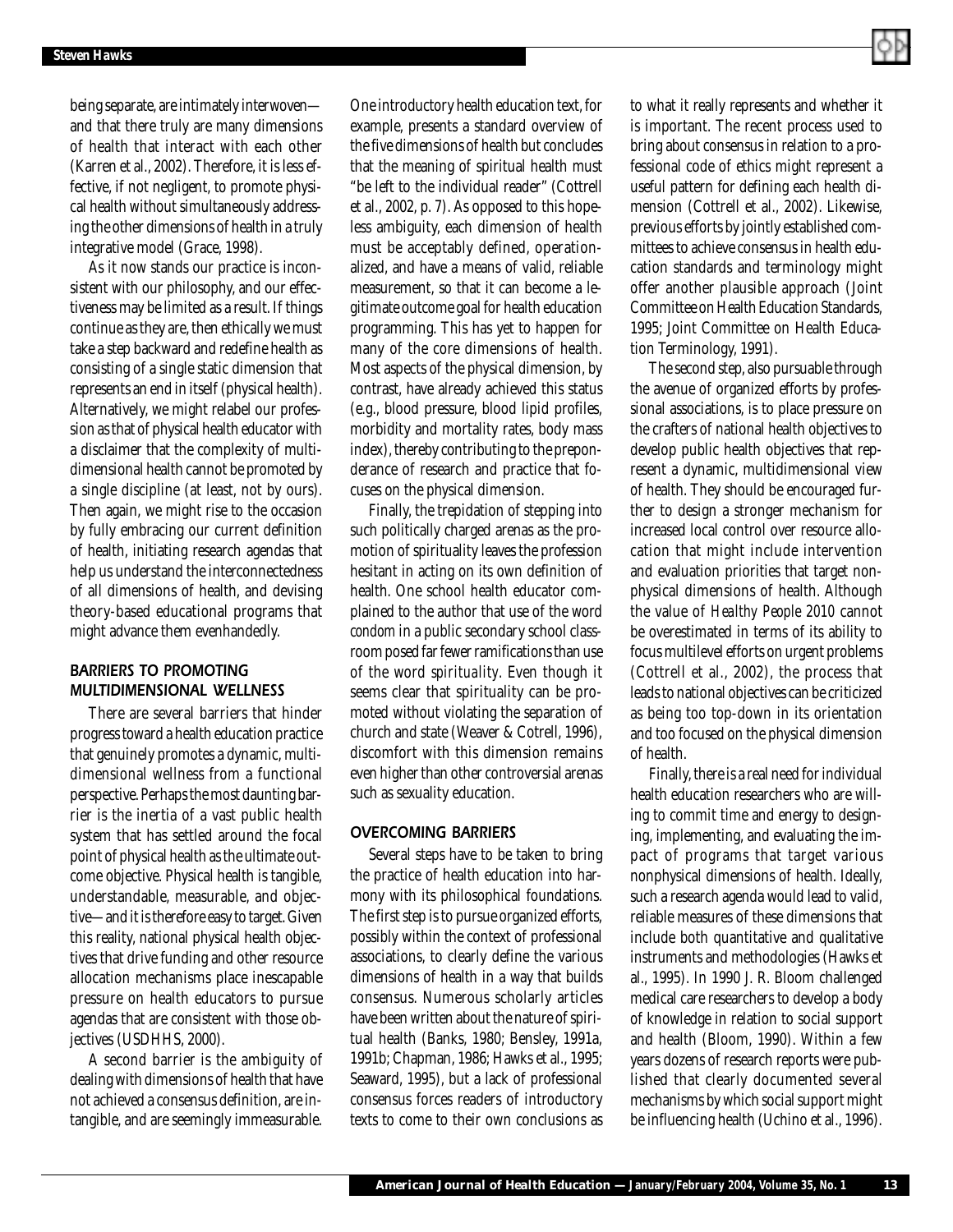

being separate, are intimately interwoven and that there truly are many dimensions of health that interact with each other (Karren et al., 2002). Therefore, it is less effective, if not negligent, to promote physical health without simultaneously addressing the other dimensions of health in a truly integrative model (Grace, 1998).

As it now stands our practice is inconsistent with our philosophy, and our effectiveness may be limited as a result. If things continue as they are, then ethically we must take a step backward and redefine health as consisting of a single static dimension that represents an end in itself (physical health). Alternatively, we might relabel our profession as that of physical health educator with a disclaimer that the complexity of multidimensional health cannot be promoted by a single discipline (at least, not by ours). Then again, we might rise to the occasion by fully embracing our current definition of health, initiating research agendas that help us understand the interconnectedness of all dimensions of health, and devising theory-based educational programs that might advance them evenhandedly.

# *BARRIERS TO PROMOTING MULTIDIMENSIONAL WELLNESS*

There are several barriers that hinder progress toward a health education practice that genuinely promotes a dynamic, multidimensional wellness from a functional perspective. Perhaps the most daunting barrier is the inertia of a vast public health system that has settled around the focal point of physical health as the ultimate outcome objective. Physical health is tangible, understandable, measurable, and objective—and it is therefore easy to target. Given this reality, national physical health objectives that drive funding and other resource allocation mechanisms place inescapable pressure on health educators to pursue agendas that are consistent with those objectives (USDHHS, 2000).

A second barrier is the ambiguity of dealing with dimensions of health that have not achieved a consensus definition, are intangible, and are seemingly immeasurable.

One introductory health education text, for example, presents a standard overview of the five dimensions of health but concludes that the meaning of spiritual health must "be left to the individual reader" (Cottrell et al., 2002, p. 7). As opposed to this hopeless ambiguity, each dimension of health must be acceptably defined, operationalized, and have a means of valid, reliable measurement, so that it can become a legitimate outcome goal for health education programming. This has yet to happen for many of the core dimensions of health. Most aspects of the physical dimension, by contrast, have already achieved this status (e.g., blood pressure, blood lipid profiles, morbidity and mortality rates, body mass index), thereby contributing to the preponderance of research and practice that focuses on the physical dimension.

Finally, the trepidation of stepping into such politically charged arenas as the promotion of spirituality leaves the profession hesitant in acting on its own definition of health. One school health educator complained to the author that use of the word *condom* in a public secondary school classroom posed far fewer ramifications than use of the word *spirituality*. Even though it seems clear that spirituality can be promoted without violating the separation of church and state (Weaver & Cotrell, 1996), discomfort with this dimension remains even higher than other controversial arenas such as sexuality education.

# *OVERCOMING BARRIERS*

Several steps have to be taken to bring the practice of health education into harmony with its philosophical foundations. The first step is to pursue organized efforts, possibly within the context of professional associations, to clearly define the various dimensions of health in a way that builds consensus. Numerous scholarly articles have been written about the nature of spiritual health (Banks, 1980; Bensley, 1991a, 1991b; Chapman, 1986; Hawks et al., 1995; Seaward, 1995), but a lack of professional consensus forces readers of introductory texts to come to their own conclusions as

to what it really represents and whether it is important. The recent process used to bring about consensus in relation to a professional code of ethics might represent a useful pattern for defining each health dimension (Cottrell et al., 2002). Likewise, previous efforts by jointly established committees to achieve consensus in health education standards and terminology might offer another plausible approach (Joint Committee on Health Education Standards, 1995; Joint Committee on Health Education Terminology, 1991).

The second step, also pursuable through the avenue of organized efforts by professional associations, is to place pressure on the crafters of national health objectives to develop public health objectives that represent a dynamic, multidimensional view of health. They should be encouraged further to design a stronger mechanism for increased local control over resource allocation that might include intervention and evaluation priorities that target nonphysical dimensions of health. Although the value of *Healthy People 2010* cannot be overestimated in terms of its ability to focus multilevel efforts on urgent problems (Cottrell et al., 2002), the process that leads to national objectives can be criticized as being too top-down in its orientation and too focused on the physical dimension of health.

Finally, there is a real need for individual health education researchers who are willing to commit time and energy to designing, implementing, and evaluating the impact of programs that target various nonphysical dimensions of health. Ideally, such a research agenda would lead to valid, reliable measures of these dimensions that include both quantitative and qualitative instruments and methodologies (Hawks et al., 1995). In 1990 J. R. Bloom challenged medical care researchers to develop a body of knowledge in relation to social support and health (Bloom, 1990). Within a few years dozens of research reports were published that clearly documented several mechanisms by which social support might be influencing health (Uchino et al., 1996).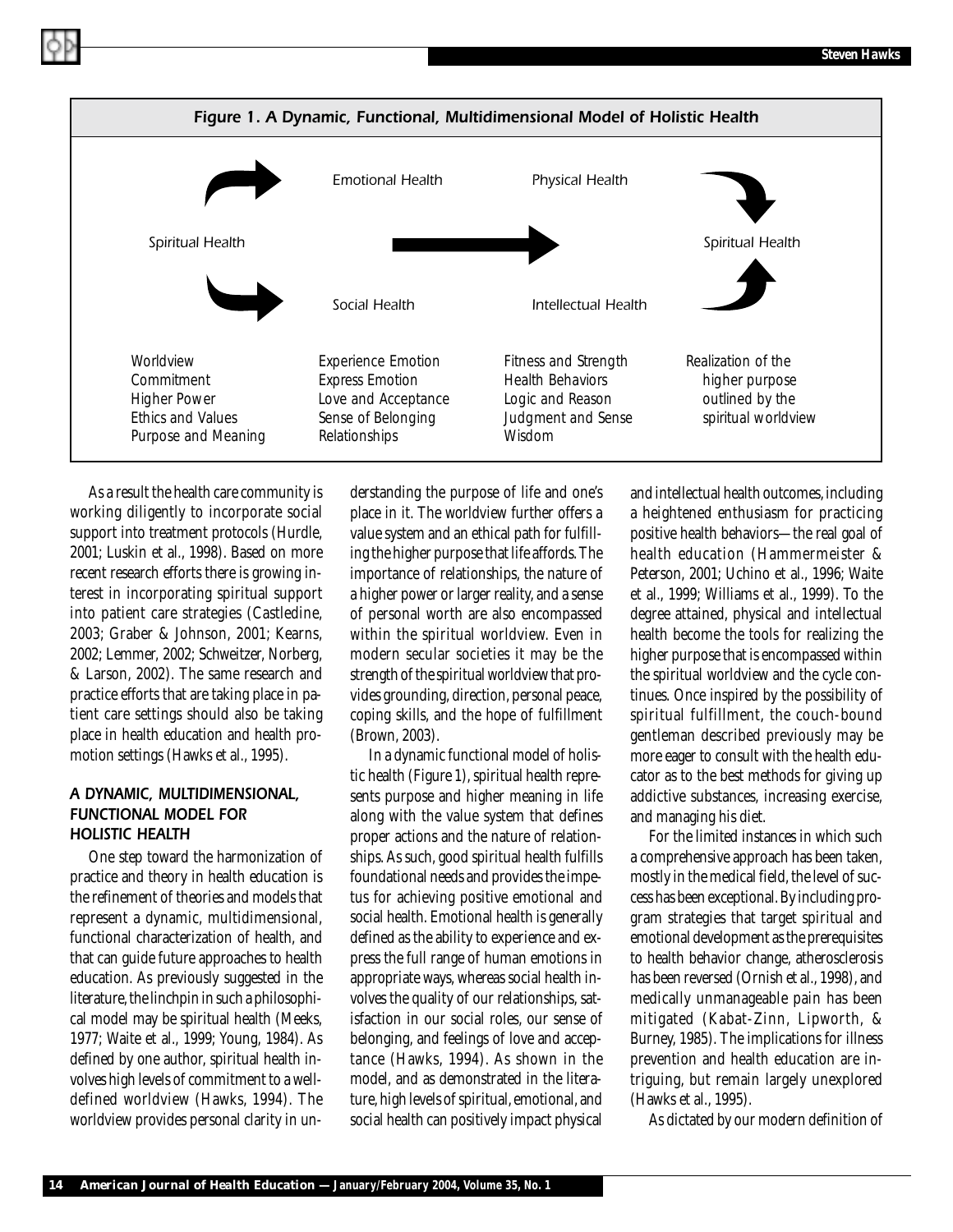*Steven Hawks*



As a result the health care community is working diligently to incorporate social support into treatment protocols (Hurdle, 2001; Luskin et al., 1998). Based on more recent research efforts there is growing interest in incorporating spiritual support into patient care strategies (Castledine, 2003; Graber & Johnson, 2001; Kearns, 2002; Lemmer, 2002; Schweitzer, Norberg, & Larson, 2002). The same research and practice efforts that are taking place in patient care settings should also be taking place in health education and health promotion settings (Hawks et al., 1995).

# *A DYNAMIC, MULTIDIMENSIONAL, FUNCTIONAL MODEL FOR HOLISTIC HEALTH*

One step toward the harmonization of practice and theory in health education is the refinement of theories and models that represent a dynamic, multidimensional, functional characterization of health, and that can guide future approaches to health education. As previously suggested in the literature, the linchpin in such a philosophical model may be spiritual health (Meeks, 1977; Waite et al., 1999; Young, 1984). As defined by one author, spiritual health involves high levels of commitment to a welldefined worldview (Hawks, 1994). The worldview provides personal clarity in understanding the purpose of life and one's place in it. The worldview further offers a value system and an ethical path for fulfilling the higher purpose that life affords. The importance of relationships, the nature of a higher power or larger reality, and a sense of personal worth are also encompassed within the spiritual worldview. Even in modern secular societies it may be the strength of the spiritual worldview that provides grounding, direction, personal peace, coping skills, and the hope of fulfillment (Brown, 2003).

In a dynamic functional model of holistic health (Figure 1), spiritual health represents purpose and higher meaning in life along with the value system that defines proper actions and the nature of relationships. As such, good spiritual health fulfills foundational needs and provides the impetus for achieving positive emotional and social health. Emotional health is generally defined as the ability to experience and express the full range of human emotions in appropriate ways, whereas social health involves the quality of our relationships, satisfaction in our social roles, our sense of belonging, and feelings of love and acceptance (Hawks, 1994). As shown in the model, and as demonstrated in the literature, high levels of spiritual, emotional, and social health can positively impact physical

and intellectual health outcomes, including a heightened enthusiasm for practicing positive health behaviors—the real goal of health education (Hammermeister & Peterson, 2001; Uchino et al., 1996; Waite et al., 1999; Williams et al., 1999). To the degree attained, physical and intellectual health become the tools for realizing the higher purpose that is encompassed within the spiritual worldview and the cycle continues. Once inspired by the possibility of spiritual fulfillment, the couch-bound gentleman described previously may be more eager to consult with the health educator as to the best methods for giving up addictive substances, increasing exercise, and managing his diet.

For the limited instances in which such a comprehensive approach has been taken, mostly in the medical field, the level of success has been exceptional. By including program strategies that target spiritual and emotional development as the prerequisites to health behavior change, atherosclerosis has been reversed (Ornish et al., 1998), and medically unmanageable pain has been mitigated (Kabat-Zinn, Lipworth, & Burney, 1985). The implications for illness prevention and health education are intriguing, but remain largely unexplored (Hawks et al., 1995).

As dictated by our modern definition of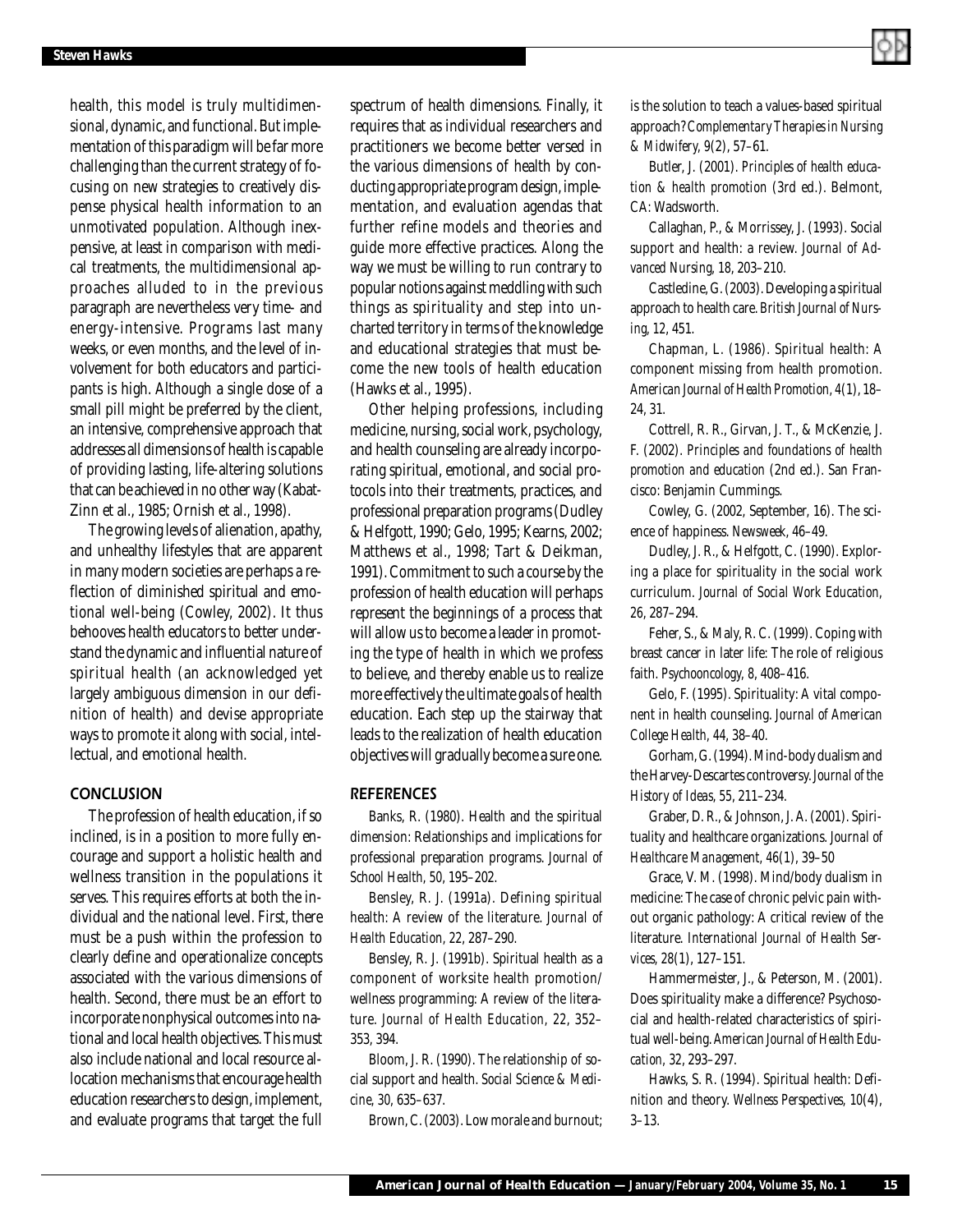health, this model is truly multidimensional, dynamic, and functional. But implementation of this paradigm will be far more challenging than the current strategy of focusing on new strategies to creatively dispense physical health information to an unmotivated population. Although inexpensive, at least in comparison with medical treatments, the multidimensional approaches alluded to in the previous paragraph are nevertheless very time- and energy-intensive. Programs last many weeks, or even months, and the level of involvement for both educators and participants is high. Although a single dose of a small pill might be preferred by the client, an intensive, comprehensive approach that addresses all dimensions of health is capable of providing lasting, life-altering solutions that can be achieved in no other way (Kabat-Zinn et al., 1985; Ornish et al., 1998).

The growing levels of alienation, apathy, and unhealthy lifestyles that are apparent in many modern societies are perhaps a reflection of diminished spiritual and emotional well-being (Cowley, 2002). It thus behooves health educators to better understand the dynamic and influential nature of spiritual health (an acknowledged yet largely ambiguous dimension in our definition of health) and devise appropriate ways to promote it along with social, intellectual, and emotional health.

## *CONCLUSION*

The profession of health education, if so inclined, is in a position to more fully encourage and support a holistic health and wellness transition in the populations it serves. This requires efforts at both the individual and the national level. First, there must be a push within the profession to clearly define and operationalize concepts associated with the various dimensions of health. Second, there must be an effort to incorporate nonphysical outcomes into national and local health objectives. This must also include national and local resource allocation mechanisms that encourage health education researchers to design, implement, and evaluate programs that target the full spectrum of health dimensions. Finally, it requires that as individual researchers and practitioners we become better versed in the various dimensions of health by conducting appropriate program design, implementation, and evaluation agendas that further refine models and theories and guide more effective practices. Along the way we must be willing to run contrary to popular notions against meddling with such things as spirituality and step into uncharted territory in terms of the knowledge and educational strategies that must become the new tools of health education (Hawks et al., 1995).

Other helping professions, including medicine, nursing, social work, psychology, and health counseling are already incorporating spiritual, emotional, and social protocols into their treatments, practices, and professional preparation programs (Dudley & Helfgott, 1990; Gelo, 1995; Kearns, 2002; Matthews et al., 1998; Tart & Deikman, 1991). Commitment to such a course by the profession of health education will perhaps represent the beginnings of a process that will allow us to become a leader in promoting the type of health in which we profess to believe, and thereby enable us to realize more effectively the ultimate goals of health education. Each step up the stairway that leads to the realization of health education objectives will gradually become a sure one.

## *REFERENCES*

Banks, R. (1980). Health and the spiritual dimension: Relationships and implications for professional preparation programs. *Journal of School Health, 50*, 195–202.

Bensley, R. J. (1991a). Defining spiritual health: A review of the literature. *Journal of Health Education, 22*, 287–290.

Bensley, R. J. (1991b). Spiritual health as a component of worksite health promotion/ wellness programming: A review of the literature. *Journal of Health Education, 22*, 352– 353, 394.

Bloom, J. R. (1990). The relationship of social support and health. *Social Science & Medicine, 30*, 635–637.

Brown, C. (2003). Low morale and burnout;

is the solution to teach a values-based spiritual approach? *Complementary Therapies in Nursing & Midwifery, 9*(2), 57–61.

Butler, J. (2001). *Principles of health education & health promotion* (3rd ed.). Belmont, CA: Wadsworth.

Callaghan, P., & Morrissey, J. (1993). Social support and health: a review. *Journal of Advanced Nursing, 18*, 203–210.

Castledine, G. (2003). Developing a spiritual approach to health care. *British Journal of Nursing, 12*, 451.

Chapman, L. (1986). Spiritual health: A component missing from health promotion. *American Journal of Health Promotion, 4*(1), 18– 24, 31.

Cottrell, R. R., Girvan, J. T., & McKenzie, J. F. (2002). *Principles and foundations of health promotion and education* (2nd ed.). San Francisco: Benjamin Cummings.

Cowley, G. (2002, September, 16). The science of happiness. *Newsweek*, 46–49.

Dudley, J. R., & Helfgott, C. (1990). Exploring a place for spirituality in the social work curriculum. *Journal of Social Work Education, 26*, 287–294.

Feher, S., & Maly, R. C. (1999). Coping with breast cancer in later life: The role of religious faith. *Psychooncology, 8*, 408–416.

Gelo, F. (1995). Spirituality: A vital component in health counseling. *Journal of American College Health, 44*, 38–40.

Gorham, G. (1994). Mind-body dualism and the Harvey-Descartes controversy. *Journal of the History of Ideas, 55*, 211–234.

Graber, D. R., & Johnson, J. A. (2001). Spirituality and healthcare organizations. *Journal of Healthcare Management, 46*(1), 39–50

Grace, V. M. (1998). Mind/body dualism in medicine: The case of chronic pelvic pain without organic pathology: A critical review of the literature. *International Journal of Health Services, 28*(1), 127–151.

Hammermeister, J., & Peterson, M. (2001). Does spirituality make a difference? Psychosocial and health-related characteristics of spiritual well-being. *American Journal of Health Education, 32*, 293–297.

Hawks, S. R. (1994). Spiritual health: Definition and theory. *Wellness Perspectives, 10*(4), 3–13.